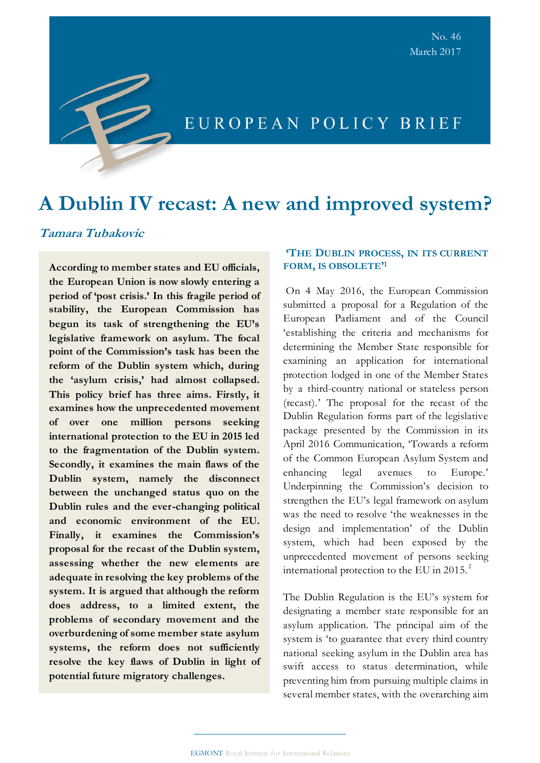# **A Dublin IV recast: A new and improved system?**

# **Tamara Tubakovic**

**According to member states and EU officials, the European Union is now slowly entering a period of 'post crisis.' In this fragile period of stability, the European Commission has begun its task of strengthening the EU's legislative framework on asylum. The focal point of the Commission's task has been the reform of the Dublin system which, during the 'asylum crisis,' had almost collapsed. This policy brief has three aims. Firstly, it examines how the unprecedented movement of over one million persons seeking international protection to the EU in 2015 led to the fragmentation of the Dublin system. Secondly, it examines the main flaws of the Dublin system, namely the disconnect between the unchanged status quo on the Dublin rules and the ever-changing political and economic environment of the EU. Finally, it examines the Commission's proposal for the recast of the Dublin system, assessing whether the new elements are adequate in resolving the key problems of the system. It is argued that although the reform does address, to a limited extent, the problems of secondary movement and the overburdening of some member state asylum systems, the reform does not sufficiently resolve the key flaws of Dublin in light of potential future migratory challenges.**

# **'THE DUBLIN PROCESS, IN ITS CURRENT FORM, IS OBSOLETE' 1**

On 4 May 2016, the European Commission submitted a proposal for a Regulation of the European Parliament and of the Council 'establishing the criteria and mechanisms for determining the Member State responsible for examining an application for international protection lodged in one of the Member States by a third-country national or stateless person (recast).' The proposal for the recast of the Dublin Regulation forms part of the legislative package presented by the Commission in its April 2016 Communication, 'Towards a reform of the Common European Asylum System and enhancing legal avenues to Europe.' Underpinning the Commission's decision to strengthen the EU's legal framework on asylum was the need to resolve 'the weaknesses in the design and implementation' of the Dublin system, which had been exposed by the unprecedented movement of persons seeking international protection to the EU in 2015. $^2$ 

The Dublin Regulation is the EU's system for designating a member state responsible for an asylum application. The principal aim of the system is 'to guarantee that every third country national seeking asylum in the Dublin area has swift access to status determination, while preventing him from pursuing multiple claims in several member states, with the overarching aim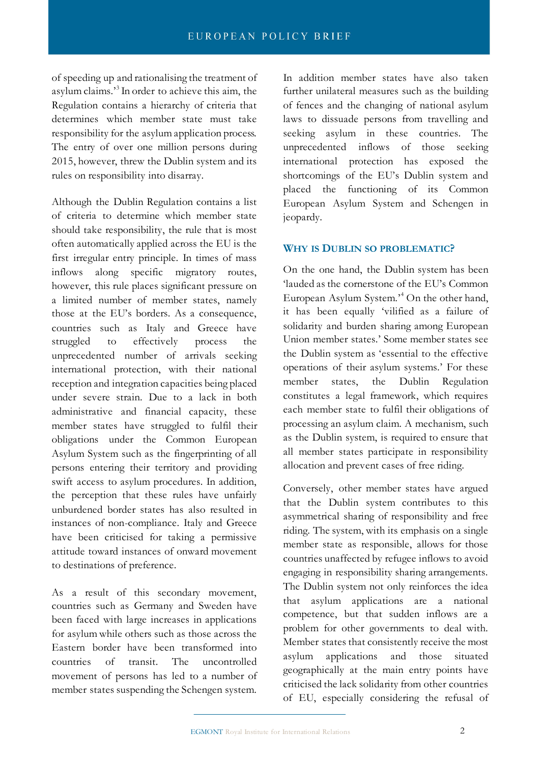of speeding up and rationalising the treatment of asylum claims.'<sup>3</sup> In order to achieve this aim, the Regulation contains a hierarchy of criteria that determines which member state must take responsibility for the asylum application process. The entry of over one million persons during 2015, however, threw the Dublin system and its rules on responsibility into disarray.

Although the Dublin Regulation contains a list of criteria to determine which member state should take responsibility, the rule that is most often automatically applied across the EU is the first irregular entry principle. In times of mass inflows along specific migratory routes, however, this rule places significant pressure on a limited number of member states, namely those at the EU's borders. As a consequence, countries such as Italy and Greece have struggled to effectively process the unprecedented number of arrivals seeking international protection, with their national reception and integration capacities being placed under severe strain. Due to a lack in both administrative and financial capacity, these member states have struggled to fulfil their obligations under the Common European Asylum System such as the fingerprinting of all persons entering their territory and providing swift access to asylum procedures. In addition, the perception that these rules have unfairly unburdened border states has also resulted in instances of non-compliance. Italy and Greece have been criticised for taking a permissive attitude toward instances of onward movement to destinations of preference.

As a result of this secondary movement, countries such as Germany and Sweden have been faced with large increases in applications for asylum while others such as those across the Eastern border have been transformed into countries of transit. The uncontrolled movement of persons has led to a number of member states suspending the Schengen system.

In addition member states have also taken further unilateral measures such as the building of fences and the changing of national asylum laws to dissuade persons from travelling and seeking asylum in these countries. The unprecedented inflows of those seeking international protection has exposed the shortcomings of the EU's Dublin system and placed the functioning of its Common European Asylum System and Schengen in jeopardy.

### **WHY IS DUBLIN SO PROBLEMATIC?**

On the one hand, the Dublin system has been 'lauded as the cornerstone of the EU's Common European Asylum System.'<sup>4</sup> On the other hand, it has been equally 'vilified as a failure of solidarity and burden sharing among European Union member states.' Some member states see the Dublin system as 'essential to the effective operations of their asylum systems.' For these member states, the Dublin Regulation constitutes a legal framework, which requires each member state to fulfil their obligations of processing an asylum claim. A mechanism, such as the Dublin system, is required to ensure that all member states participate in responsibility allocation and prevent cases of free riding.

Conversely, other member states have argued that the Dublin system contributes to this asymmetrical sharing of responsibility and free riding. The system, with its emphasis on a single member state as responsible, allows for those countries unaffected by refugee inflows to avoid engaging in responsibility sharing arrangements. The Dublin system not only reinforces the idea that asylum applications are a national competence, but that sudden inflows are a problem for other governments to deal with. Member states that consistently receive the most asylum applications and those situated geographically at the main entry points have criticised the lack solidarity from other countries of EU, especially considering the refusal of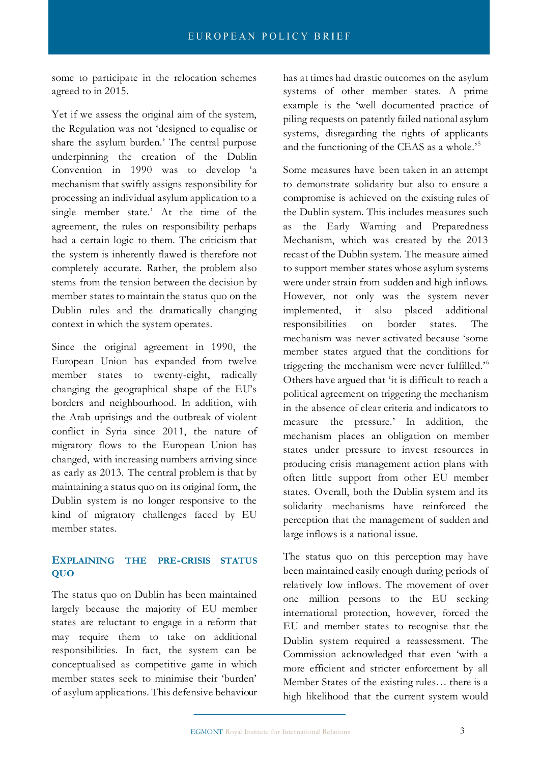some to participate in the relocation schemes agreed to in 2015.

Yet if we assess the original aim of the system, the Regulation was not 'designed to equalise or share the asylum burden.' The central purpose underpinning the creation of the Dublin Convention in 1990 was to develop 'a mechanism that swiftly assigns responsibility for processing an individual asylum application to a single member state.' At the time of the agreement, the rules on responsibility perhaps had a certain logic to them. The criticism that the system is inherently flawed is therefore not completely accurate. Rather, the problem also stems from the tension between the decision by member states to maintain the status quo on the Dublin rules and the dramatically changing context in which the system operates.

Since the original agreement in 1990, the European Union has expanded from twelve member states to twenty-eight, radically changing the geographical shape of the EU's borders and neighbourhood. In addition, with the Arab uprisings and the outbreak of violent conflict in Syria since 2011, the nature of migratory flows to the European Union has changed, with increasing numbers arriving since as early as 2013. The central problem is that by maintaining a status quo on its original form, the Dublin system is no longer responsive to the kind of migratory challenges faced by EU member states.

## **EXPLAINING THE PRE-CRISIS STATUS QUO**

The status quo on Dublin has been maintained largely because the majority of EU member states are reluctant to engage in a reform that may require them to take on additional responsibilities. In fact, the system can be conceptualised as competitive game in which member states seek to minimise their 'burden' of asylum applications. This defensive behaviour has at times had drastic outcomes on the asylum systems of other member states. A prime example is the 'well documented practice of piling requests on patently failed national asylum systems, disregarding the rights of applicants and the functioning of the CEAS as a whole.<sup>5</sup>

Some measures have been taken in an attempt to demonstrate solidarity but also to ensure a compromise is achieved on the existing rules of the Dublin system. This includes measures such as the Early Warning and Preparedness Mechanism, which was created by the 2013 recast of the Dublin system. The measure aimed to support member states whose asylum systems were under strain from sudden and high inflows. However, not only was the system never implemented, it also placed additional responsibilities on border states. The mechanism was never activated because 'some member states argued that the conditions for triggering the mechanism were never fulfilled.'<sup>6</sup> Others have argued that 'it is difficult to reach a political agreement on triggering the mechanism in the absence of clear criteria and indicators to measure the pressure.' In addition, the mechanism places an obligation on member states under pressure to invest resources in producing crisis management action plans with often little support from other EU member states. Overall, both the Dublin system and its solidarity mechanisms have reinforced the perception that the management of sudden and large inflows is a national issue.

The status quo on this perception may have been maintained easily enough during periods of relatively low inflows. The movement of over one million persons to the EU seeking international protection, however, forced the EU and member states to recognise that the Dublin system required a reassessment. The Commission acknowledged that even 'with a more efficient and stricter enforcement by all Member States of the existing rules… there is a high likelihood that the current system would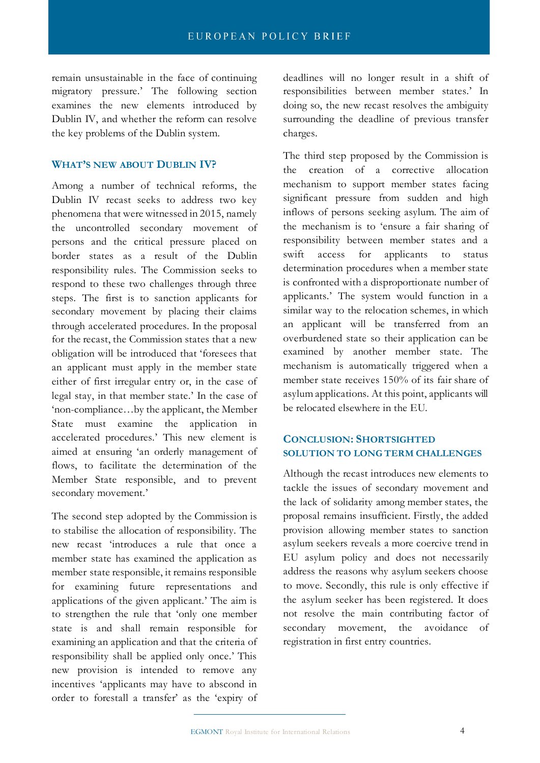remain unsustainable in the face of continuing migratory pressure.' The following section examines the new elements introduced by Dublin IV, and whether the reform can resolve the key problems of the Dublin system.

#### **WHAT'S NEW ABOUT DUBLIN IV?**

Among a number of technical reforms, the Dublin IV recast seeks to address two key phenomena that were witnessed in 2015, namely the uncontrolled secondary movement of persons and the critical pressure placed on border states as a result of the Dublin responsibility rules. The Commission seeks to respond to these two challenges through three steps. The first is to sanction applicants for secondary movement by placing their claims through accelerated procedures. In the proposal for the recast, the Commission states that a new obligation will be introduced that 'foresees that an applicant must apply in the member state either of first irregular entry or, in the case of legal stay, in that member state.' In the case of 'non-compliance…by the applicant, the Member State must examine the application in accelerated procedures.' This new element is aimed at ensuring 'an orderly management of flows, to facilitate the determination of the Member State responsible, and to prevent secondary movement.'

The second step adopted by the Commission is to stabilise the allocation of responsibility. The new recast 'introduces a rule that once a member state has examined the application as member state responsible, it remains responsible for examining future representations and applications of the given applicant.' The aim is to strengthen the rule that 'only one member state is and shall remain responsible for examining an application and that the criteria of responsibility shall be applied only once.' This new provision is intended to remove any incentives 'applicants may have to abscond in order to forestall a transfer' as the 'expiry of deadlines will no longer result in a shift of responsibilities between member states.' In doing so, the new recast resolves the ambiguity surrounding the deadline of previous transfer charges.

The third step proposed by the Commission is the creation of a corrective allocation mechanism to support member states facing significant pressure from sudden and high inflows of persons seeking asylum. The aim of the mechanism is to 'ensure a fair sharing of responsibility between member states and a swift access for applicants to status determination procedures when a member state is confronted with a disproportionate number of applicants.' The system would function in a similar way to the relocation schemes, in which an applicant will be transferred from an overburdened state so their application can be examined by another member state. The mechanism is automatically triggered when a member state receives 150% of its fair share of asylum applications. At this point, applicants will be relocated elsewhere in the EU.

# **CONCLUSION: SHORTSIGHTED SOLUTION TO LONG TERM CHALLENGES**

Although the recast introduces new elements to tackle the issues of secondary movement and the lack of solidarity among member states, the proposal remains insufficient. Firstly, the added provision allowing member states to sanction asylum seekers reveals a more coercive trend in EU asylum policy and does not necessarily address the reasons why asylum seekers choose to move. Secondly, this rule is only effective if the asylum seeker has been registered. It does not resolve the main contributing factor of secondary movement, the avoidance of registration in first entry countries.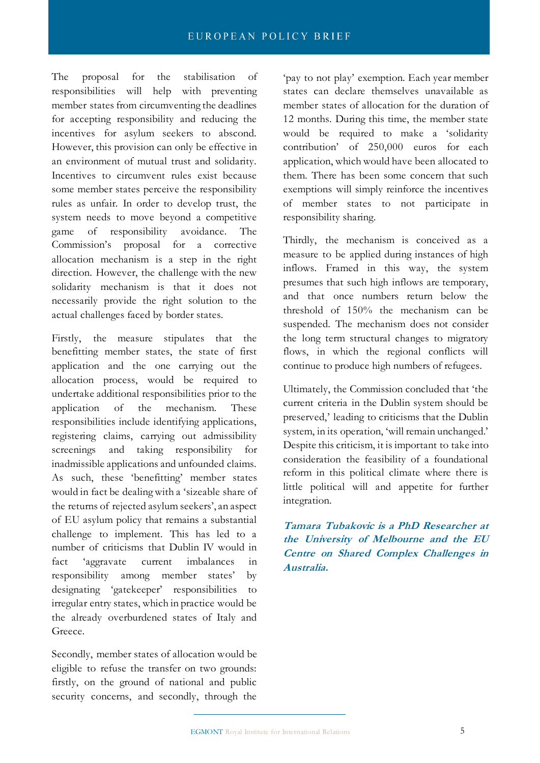#### EUROPEAN POLICY BRIEF

The proposal for the stabilisation of responsibilities will help with preventing member states from circumventing the deadlines for accepting responsibility and reducing the incentives for asylum seekers to abscond. However, this provision can only be effective in an environment of mutual trust and solidarity. Incentives to circumvent rules exist because some member states perceive the responsibility rules as unfair. In order to develop trust, the system needs to move beyond a competitive game of responsibility avoidance. The Commission's proposal for a corrective allocation mechanism is a step in the right direction. However, the challenge with the new solidarity mechanism is that it does not necessarily provide the right solution to the actual challenges faced by border states.

Firstly, the measure stipulates that the benefitting member states, the state of first application and the one carrying out the allocation process, would be required to undertake additional responsibilities prior to the application of the mechanism. These responsibilities include identifying applications, registering claims, carrying out admissibility screenings and taking responsibility for inadmissible applications and unfounded claims. As such, these 'benefitting' member states would in fact be dealing with a 'sizeable share of the returns of rejected asylum seekers', an aspect of EU asylum policy that remains a substantial challenge to implement. This has led to a number of criticisms that Dublin IV would in fact 'aggravate current imbalances in responsibility among member states' by designating 'gatekeeper' responsibilities to irregular entry states, which in practice would be the already overburdened states of Italy and Greece.

Secondly, member states of allocation would be eligible to refuse the transfer on two grounds: firstly, on the ground of national and public security concerns, and secondly, through the

'pay to not play' exemption. Each year member states can declare themselves unavailable as member states of allocation for the duration of 12 months. During this time, the member state would be required to make a 'solidarity contribution' of 250,000 euros for each application, which would have been allocated to them. There has been some concern that such exemptions will simply reinforce the incentives of member states to not participate in responsibility sharing.

Thirdly, the mechanism is conceived as a measure to be applied during instances of high inflows. Framed in this way, the system presumes that such high inflows are temporary, and that once numbers return below the threshold of 150% the mechanism can be suspended. The mechanism does not consider the long term structural changes to migratory flows, in which the regional conflicts will continue to produce high numbers of refugees.

Ultimately, the Commission concluded that 'the current criteria in the Dublin system should be preserved,' leading to criticisms that the Dublin system, in its operation, 'will remain unchanged.' Despite this criticism, it is important to take into consideration the feasibility of a foundational reform in this political climate where there is little political will and appetite for further integration.

**Tamara Tubakovic is a PhD Researcher at the University of Melbourne and the EU Centre on Shared Complex Challenges in Australia.**